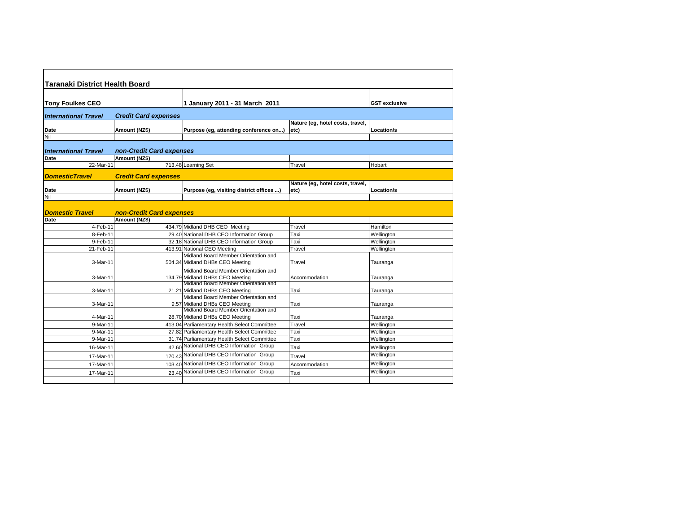| <b>Taranaki District Health Board</b> |                             |                                                                         |                                          |                      |
|---------------------------------------|-----------------------------|-------------------------------------------------------------------------|------------------------------------------|----------------------|
|                                       |                             |                                                                         |                                          |                      |
| <b>Tony Foulkes CEO</b>               |                             | 1 January 2011 - 31 March 2011                                          |                                          | <b>GST exclusive</b> |
| <b>International Travel</b>           | <b>Credit Card expenses</b> |                                                                         |                                          |                      |
| Date                                  | Amount (NZ\$)               | Purpose (eg, attending conference on)                                   | Nature (eg, hotel costs, travel,<br>etc) | Location/s           |
| Nil                                   |                             |                                                                         |                                          |                      |
| <b>International Travel</b>           | non-Credit Card expenses    |                                                                         |                                          |                      |
| Date                                  | Amount (NZ\$)               |                                                                         |                                          |                      |
| 22-Mar-11                             |                             | 713.48 Learning Set                                                     | Travel                                   | Hobart               |
| <b>DomesticTravel</b>                 | <b>Credit Card expenses</b> |                                                                         |                                          |                      |
|                                       |                             |                                                                         | Nature (eg, hotel costs, travel,         |                      |
| Date                                  | Amount (NZ\$)               | Purpose (eg, visiting district offices )                                | etc)                                     | Location/s           |
| Nil                                   |                             |                                                                         |                                          |                      |
| <b>Domestic Travel</b>                | non-Credit Card expenses    |                                                                         |                                          |                      |
| Date                                  | Amount (NZ\$)               |                                                                         |                                          |                      |
| 4-Feb-11                              |                             | 434.79 Midland DHB CEO Meeting                                          | Travel                                   | Hamilton             |
| 8-Feb-11                              |                             | 29.40 National DHB CEO Information Group                                | Taxi                                     | Wellington           |
| 9-Feb-11                              |                             | 32.18 National DHB CEO Information Group                                | Taxi                                     | Wellington           |
| 21-Feb-11                             |                             | 413.91 National CEO Meeting<br>Midland Board Member Orientation and     | Travel                                   | Wellington           |
| 3-Mar-11                              |                             | 504.34 Midland DHBs CEO Meeting                                         | Travel                                   | Tauranga             |
| 3-Mar-11                              |                             | Midland Board Member Orientation and<br>134.79 Midland DHBs CEO Meeting | Accommodation                            | Tauranga             |
| 3-Mar-11                              |                             | Midland Board Member Orientation and<br>21.21 Midland DHBs CEO Meeting  | Taxi                                     | Tauranga             |
| 3-Mar-11                              |                             | Midland Board Member Orientation and<br>9.57 Midland DHBs CEO Meeting   | Taxi                                     | Tauranga             |
| 4-Mar-11                              |                             | Midland Board Member Orientation and<br>28.70 Midland DHBs CEO Meeting  | Taxi                                     | Tauranga             |
| 9-Mar-11                              |                             | 413.04 Parliamentary Health Select Committee                            | Travel                                   | Wellington           |
| 9-Mar-11                              |                             | 27.82 Parliamentary Health Select Committee                             | Taxi                                     | Wellington           |
| 9-Mar-11                              |                             | 31.74 Parliamentary Health Select Committee                             | Taxi                                     | Wellington           |
| 16-Mar-11                             |                             | 42.60 National DHB CEO Information Group                                | Taxi                                     | Wellington           |
| 17-Mar-11                             |                             | 170.43 National DHB CEO Information Group                               | Travel                                   | Wellington           |
| 17-Mar-11                             |                             | 103.40 National DHB CEO Information Group                               | Accommodation                            | Wellington           |
| 17-Mar-11                             |                             | 23.40 National DHB CEO Information Group                                | Taxi                                     | Wellington           |
|                                       |                             |                                                                         |                                          |                      |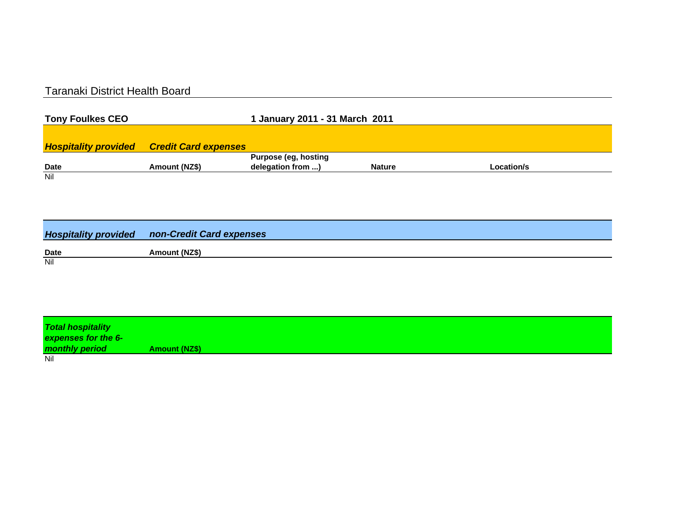## Taranaki District Health Board

| <b>Tony Foulkes CEO</b> |                                                  | 1 January 2011 - 31 March 2011 |               |            |
|-------------------------|--------------------------------------------------|--------------------------------|---------------|------------|
|                         |                                                  |                                |               |            |
|                         | <b>Hospitality provided Credit Card expenses</b> |                                |               |            |
|                         |                                                  | <b>Purpose (eg, hosting</b>    |               |            |
| <b>Date</b>             | Amount (NZ\$)                                    | delegation from )              | <b>Nature</b> | Location/s |
| Nil                     |                                                  |                                |               |            |

|             | <b>Hospitality provided non-Credit Card expenses</b> |
|-------------|------------------------------------------------------|
| <b>Date</b> | Amount (NZ\$)                                        |
| Nil         |                                                      |

| <b>Total hospitality</b><br>expenses for the 6- |                      |
|-------------------------------------------------|----------------------|
| monthly period                                  | <b>Amount (NZ\$)</b> |
| Nil                                             |                      |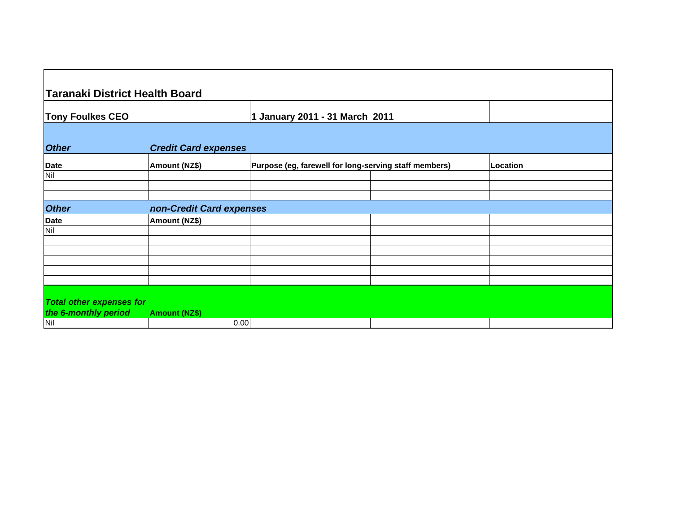| <b>Taranaki District Health Board</b> |                                                       |                                                                 |          |  |
|---------------------------------------|-------------------------------------------------------|-----------------------------------------------------------------|----------|--|
|                                       | 1 January 2011 - 31 March 2011                        |                                                                 |          |  |
|                                       |                                                       |                                                                 |          |  |
| Amount (NZ\$)                         | Purpose (eg, farewell for long-serving staff members) |                                                                 | Location |  |
|                                       |                                                       |                                                                 |          |  |
|                                       |                                                       |                                                                 |          |  |
|                                       |                                                       |                                                                 |          |  |
| Amount (NZ\$)                         |                                                       |                                                                 |          |  |
|                                       |                                                       |                                                                 |          |  |
|                                       |                                                       |                                                                 |          |  |
|                                       |                                                       |                                                                 |          |  |
|                                       |                                                       |                                                                 |          |  |
|                                       |                                                       |                                                                 |          |  |
| <b>Total other expenses for</b>       |                                                       |                                                                 |          |  |
|                                       |                                                       |                                                                 |          |  |
|                                       | <b>Amount (NZ\$)</b>                                  | <b>Credit Card expenses</b><br>non-Credit Card expenses<br>0.00 |          |  |